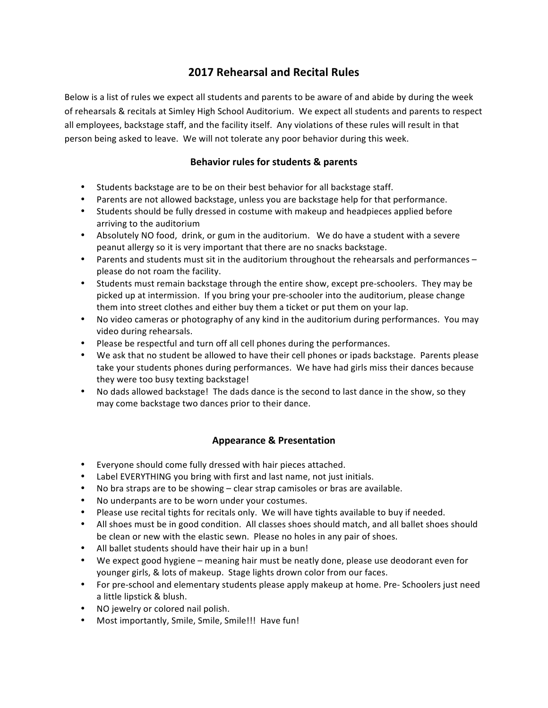## **2017 Rehearsal and Recital Rules**

Below is a list of rules we expect all students and parents to be aware of and abide by during the week of rehearsals & recitals at Simley High School Auditorium. We expect all students and parents to respect all employees, backstage staff, and the facility itself. Any violations of these rules will result in that person being asked to leave. We will not tolerate any poor behavior during this week.

## **Behavior rules for students & parents**

- Students backstage are to be on their best behavior for all backstage staff.
- Parents are not allowed backstage, unless you are backstage help for that performance.
- Students should be fully dressed in costume with makeup and headpieces applied before arriving to the auditorium
- Absolutely NO food, drink, or gum in the auditorium. We do have a student with a severe peanut allergy so it is very important that there are no snacks backstage.
- Parents and students must sit in the auditorium throughout the rehearsals and performances please do not roam the facility.
- Students must remain backstage through the entire show, except pre-schoolers. They may be picked up at intermission. If you bring your pre-schooler into the auditorium, please change them into street clothes and either buy them a ticket or put them on your lap.
- No video cameras or photography of any kind in the auditorium during performances. You may video during rehearsals.
- Please be respectful and turn off all cell phones during the performances.
- We ask that no student be allowed to have their cell phones or ipads backstage. Parents please take your students phones during performances. We have had girls miss their dances because they were too busy texting backstage!
- No dads allowed backstage! The dads dance is the second to last dance in the show, so they may come backstage two dances prior to their dance.

## **Appearance & Presentation**

- Everyone should come fully dressed with hair pieces attached.
- Label EVERYTHING you bring with first and last name, not just initials.
- No bra straps are to be showing clear strap camisoles or bras are available.
- No underpants are to be worn under your costumes.
- Please use recital tights for recitals only. We will have tights available to buy if needed.
- All shoes must be in good condition. All classes shoes should match, and all ballet shoes should be clean or new with the elastic sewn. Please no holes in any pair of shoes.
- All ballet students should have their hair up in a bun!
- We expect good hygiene meaning hair must be neatly done, please use deodorant even for younger girls, & lots of makeup. Stage lights drown color from our faces.
- For pre-school and elementary students please apply makeup at home. Pre- Schoolers just need a little lipstick & blush.
- NO jewelry or colored nail polish.
- Most importantly, Smile, Smile, Smile!!! Have fun!